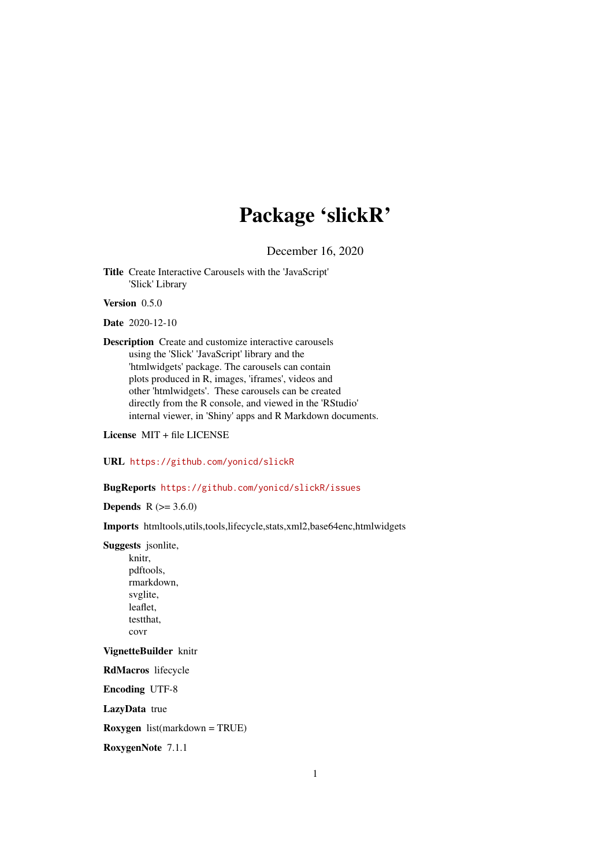# Package 'slickR'

December 16, 2020

<span id="page-0-0"></span>Title Create Interactive Carousels with the 'JavaScript' 'Slick' Library

Version 0.5.0

Date 2020-12-10

Description Create and customize interactive carousels using the 'Slick' 'JavaScript' library and the 'htmlwidgets' package. The carousels can contain plots produced in R, images, 'iframes', videos and other 'htmlwidgets'. These carousels can be created directly from the R console, and viewed in the 'RStudio' internal viewer, in 'Shiny' apps and R Markdown documents.

License MIT + file LICENSE

URL <https://github.com/yonicd/slickR>

# BugReports <https://github.com/yonicd/slickR/issues>

**Depends**  $R (= 3.6.0)$ 

Imports htmltools,utils,tools,lifecycle,stats,xml2,base64enc,htmlwidgets

Suggests jsonlite,

knitr, pdftools, rmarkdown, svglite, leaflet, testthat, covr

VignetteBuilder knitr

RdMacros lifecycle

Encoding UTF-8

LazyData true

Roxygen list(markdown = TRUE)

RoxygenNote 7.1.1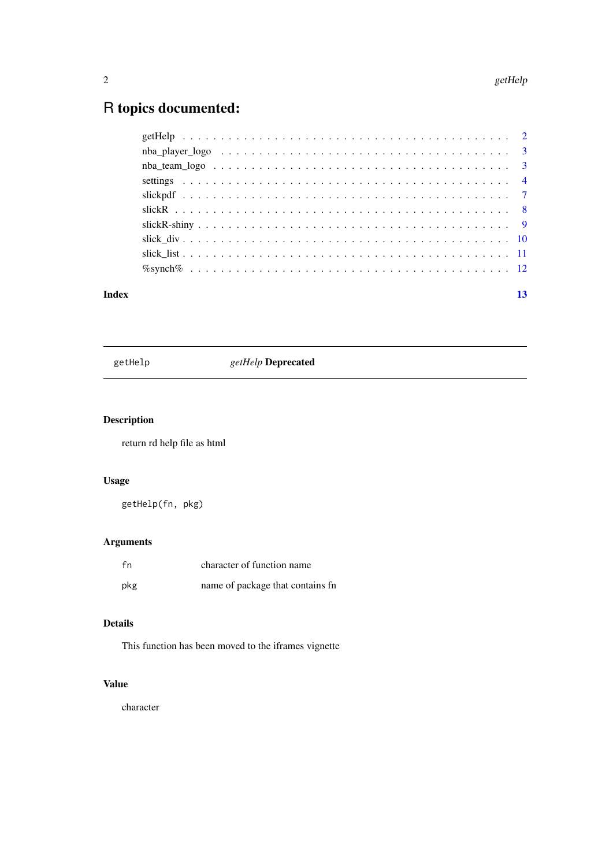# <span id="page-1-0"></span>R topics documented:

| Index | 13 |
|-------|----|
|       |    |
|       |    |
|       |    |
|       |    |
|       |    |
|       |    |
|       |    |
|       |    |
|       |    |
|       |    |

getHelp *getHelp* Deprecated

# Description

return rd help file as html

# Usage

getHelp(fn, pkg)

# Arguments

| fn  | character of function name       |
|-----|----------------------------------|
| pkg | name of package that contains fn |

# Details

This function has been moved to the iframes vignette

# Value

character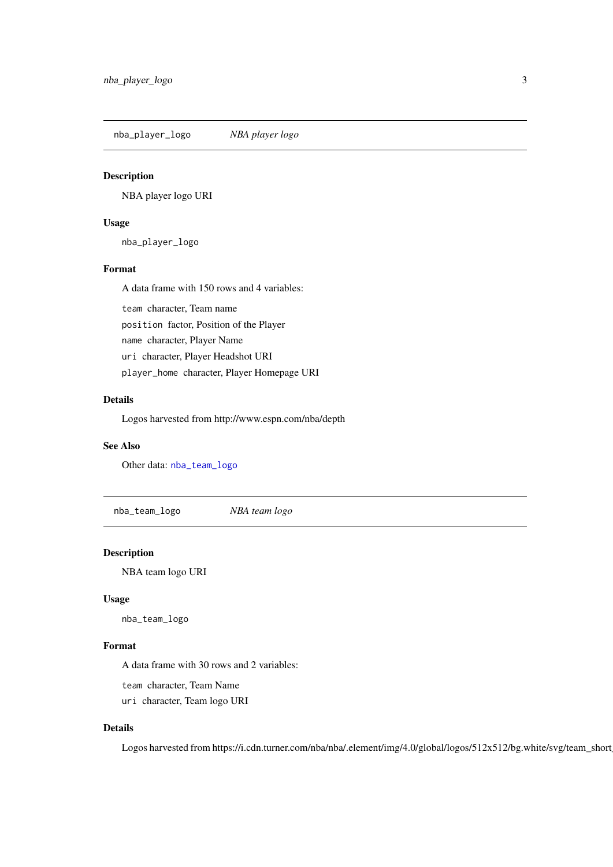<span id="page-2-2"></span><span id="page-2-0"></span>nba\_player\_logo *NBA player logo*

### Description

NBA player logo URI

## Usage

nba\_player\_logo

#### Format

A data frame with 150 rows and 4 variables:

team character, Team name position factor, Position of the Player name character, Player Name uri character, Player Headshot URI player\_home character, Player Homepage URI

# Details

Logos harvested from http://www.espn.com/nba/depth

# See Also

Other data: [nba\\_team\\_logo](#page-2-1)

<span id="page-2-1"></span>nba\_team\_logo *NBA team logo*

#### Description

NBA team logo URI

#### Usage

nba\_team\_logo

#### Format

A data frame with 30 rows and 2 variables:

team character, Team Name

uri character, Team logo URI

#### Details

Logos harvested from https://i.cdn.turner.com/nba/nba/.element/img/4.0/global/logos/512x512/bg.white/svg/team\_short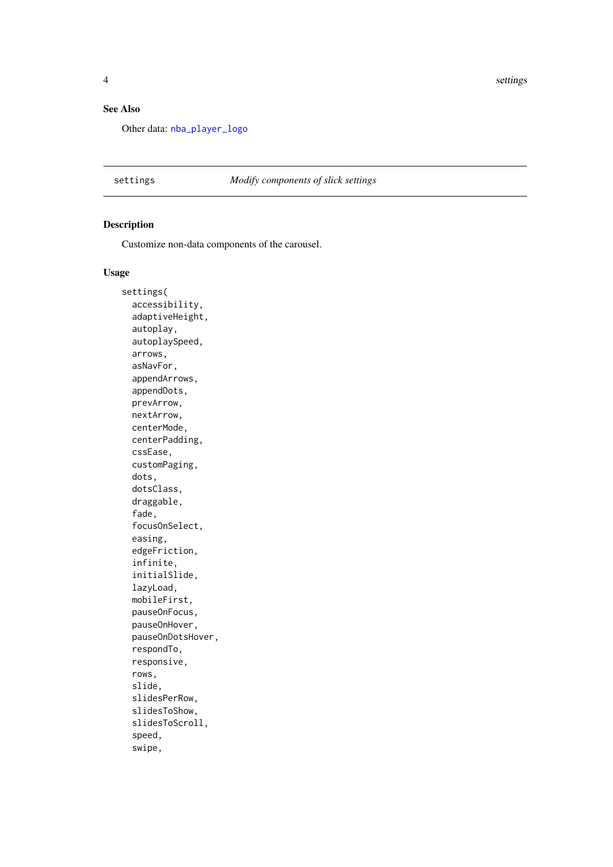<span id="page-3-0"></span>4 settings and the settings of the settings of the settings of the settings of the settings of the settings of the settings of the settings of the settings of the settings of the settings of the settings of the settings of

#### See Also

Other data: [nba\\_player\\_logo](#page-2-2)

settings *Modify components of slick settings*

#### Description

Customize non-data components of the carousel.

#### Usage

settings( accessibility, adaptiveHeight, autoplay, autoplaySpeed, arrows, asNavFor, appendArrows, appendDots, prevArrow, nextArrow, centerMode, centerPadding, cssEase, customPaging, dots, dotsClass, draggable, fade, focusOnSelect, easing, edgeFriction, infinite, initialSlide, lazyLoad, mobileFirst, pauseOnFocus, pauseOnHover, pauseOnDotsHover, respondTo, responsive, rows, slide, slidesPerRow, slidesToShow, slidesToScroll, speed, swipe,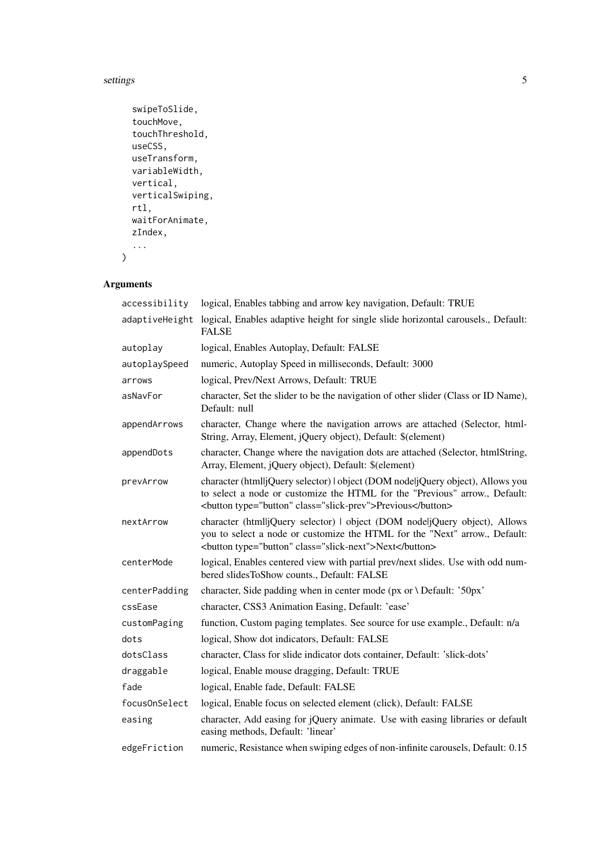settings 5

```
swipeToSlide,
touchMove,
touchThreshold,
useCSS,
useTransform,
variableWidth,
vertical,
verticalSwiping,
rtl,
waitForAnimate,
zIndex,
...
```
# Arguments

 $\lambda$ 

| accessibility  | logical, Enables tabbing and arrow key navigation, Default: TRUE                                                                                                                                                      |
|----------------|-----------------------------------------------------------------------------------------------------------------------------------------------------------------------------------------------------------------------|
| adaptiveHeight | logical, Enables adaptive height for single slide horizontal carousels., Default:<br><b>FALSE</b>                                                                                                                     |
| autoplay       | logical, Enables Autoplay, Default: FALSE                                                                                                                                                                             |
| autoplaySpeed  | numeric, Autoplay Speed in milliseconds, Default: 3000                                                                                                                                                                |
| arrows         | logical, Prev/Next Arrows, Default: TRUE                                                                                                                                                                              |
| asNavFor       | character, Set the slider to be the navigation of other slider (Class or ID Name),<br>Default: null                                                                                                                   |
| appendArrows   | character, Change where the navigation arrows are attached (Selector, html-<br>String, Array, Element, jQuery object), Default: \$(element)                                                                           |
| appendDots     | character, Change where the navigation dots are attached (Selector, htmlString,<br>Array, Element, jQuery object), Default: \$(element)                                                                               |
| prevArrow      | character (html jQuery selector)   object (DOM nodeljQuery object), Allows you<br>to select a node or customize the HTML for the "Previous" arrow., Default:<br><br>shutton type="button" class="slick-prev">Previous |
| nextArrow      | character (htmlljQuery selector)   object (DOM nodeljQuery object), Allows<br>you to select a node or customize the HTML for the "Next" arrow., Default:<br><br>button type="button" class="slick-next">Next          |
| centerMode     | logical, Enables centered view with partial prev/next slides. Use with odd num-<br>bered slidesToShow counts., Default: FALSE                                                                                         |
| centerPadding  | character, Side padding when in center mode (px or \ Default: '50px'                                                                                                                                                  |
| cssEase        | character, CSS3 Animation Easing, Default: 'ease'                                                                                                                                                                     |
| customPaging   | function, Custom paging templates. See source for use example., Default: n/a                                                                                                                                          |
| dots           | logical, Show dot indicators, Default: FALSE                                                                                                                                                                          |
| dotsClass      | character, Class for slide indicator dots container, Default: 'slick-dots'                                                                                                                                            |
| draggable      | logical, Enable mouse dragging, Default: TRUE                                                                                                                                                                         |
| fade           | logical, Enable fade, Default: FALSE                                                                                                                                                                                  |
| focus0nSelect  | logical, Enable focus on selected element (click), Default: FALSE                                                                                                                                                     |
| easing         | character, Add easing for jQuery animate. Use with easing libraries or default<br>easing methods, Default: 'linear'                                                                                                   |
| edgeFriction   | numeric, Resistance when swiping edges of non-infinite carousels, Default: 0.15                                                                                                                                       |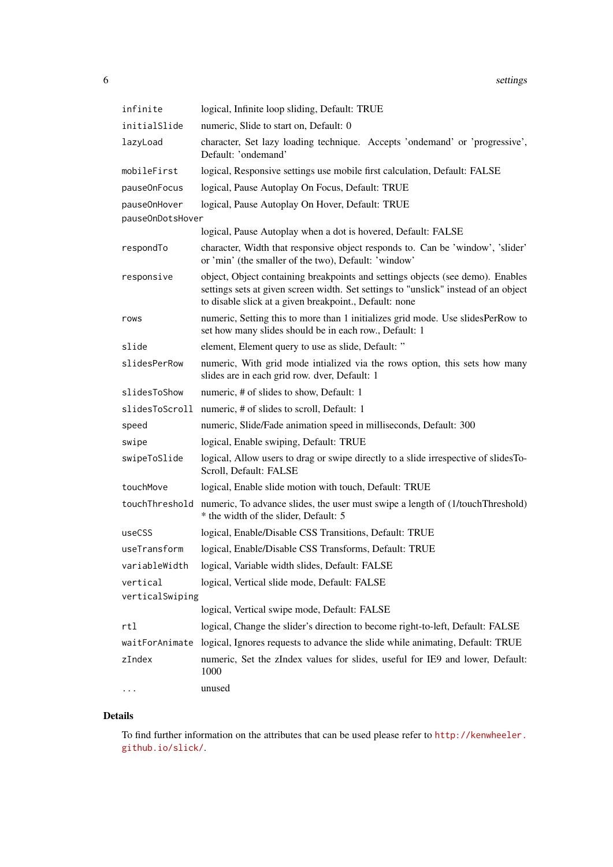| infinite         | logical, Infinite loop sliding, Default: TRUE                                                                                                                                                                                   |
|------------------|---------------------------------------------------------------------------------------------------------------------------------------------------------------------------------------------------------------------------------|
| initialSlide     | numeric, Slide to start on, Default: 0                                                                                                                                                                                          |
| lazyLoad         | character, Set lazy loading technique. Accepts 'ondemand' or 'progressive',<br>Default: 'ondemand'                                                                                                                              |
| mobileFirst      | logical, Responsive settings use mobile first calculation, Default: FALSE                                                                                                                                                       |
| pause0nFocus     | logical, Pause Autoplay On Focus, Default: TRUE                                                                                                                                                                                 |
| pause0nHover     | logical, Pause Autoplay On Hover, Default: TRUE                                                                                                                                                                                 |
| pauseOnDotsHover |                                                                                                                                                                                                                                 |
|                  | logical, Pause Autoplay when a dot is hovered, Default: FALSE                                                                                                                                                                   |
| respondTo        | character, Width that responsive object responds to. Can be 'window', 'slider'<br>or 'min' (the smaller of the two), Default: 'window'                                                                                          |
| responsive       | object, Object containing breakpoints and settings objects (see demo). Enables<br>settings sets at given screen width. Set settings to "unslick" instead of an object<br>to disable slick at a given breakpoint., Default: none |
| rows             | numeric, Setting this to more than 1 initializes grid mode. Use slidesPerRow to<br>set how many slides should be in each row., Default: 1                                                                                       |
| slide            | element, Element query to use as slide, Default: "                                                                                                                                                                              |
| slidesPerRow     | numeric, With grid mode intialized via the rows option, this sets how many<br>slides are in each grid row. dver, Default: 1                                                                                                     |
| slidesToShow     | numeric, # of slides to show, Default: 1                                                                                                                                                                                        |
|                  | slidesToScroll numeric, # of slides to scroll, Default: 1                                                                                                                                                                       |
| speed            | numeric, Slide/Fade animation speed in milliseconds, Default: 300                                                                                                                                                               |
| swipe            | logical, Enable swiping, Default: TRUE                                                                                                                                                                                          |
| swipeToSlide     | logical, Allow users to drag or swipe directly to a slide irrespective of slides To-<br>Scroll, Default: FALSE                                                                                                                  |
| touchMove        | logical, Enable slide motion with touch, Default: TRUE                                                                                                                                                                          |
| touchThreshold   | numeric, To advance slides, the user must swipe a length of (1/touchThreshold)<br>* the width of the slider, Default: 5                                                                                                         |
| useCSS           | logical, Enable/Disable CSS Transitions, Default: TRUE                                                                                                                                                                          |
| useTransform     | logical, Enable/Disable CSS Transforms, Default: TRUE                                                                                                                                                                           |
| variableWidth    | logical, Variable width slides, Default: FALSE                                                                                                                                                                                  |
| vertical         | logical, Vertical slide mode, Default: FALSE                                                                                                                                                                                    |
| verticalSwiping  |                                                                                                                                                                                                                                 |
|                  | logical, Vertical swipe mode, Default: FALSE                                                                                                                                                                                    |
| rtl              | logical, Change the slider's direction to become right-to-left, Default: FALSE                                                                                                                                                  |
|                  | waitForAnimate logical, Ignores requests to advance the slide while animating, Default: TRUE                                                                                                                                    |
| zIndex           | numeric, Set the zIndex values for slides, useful for IE9 and lower, Default:<br>1000                                                                                                                                           |
| $\cdots$         | unused                                                                                                                                                                                                                          |

# Details

To find further information on the attributes that can be used please refer to [http://kenwheeler.](http://kenwheeler.github.io/slick/) [github.io/slick/](http://kenwheeler.github.io/slick/).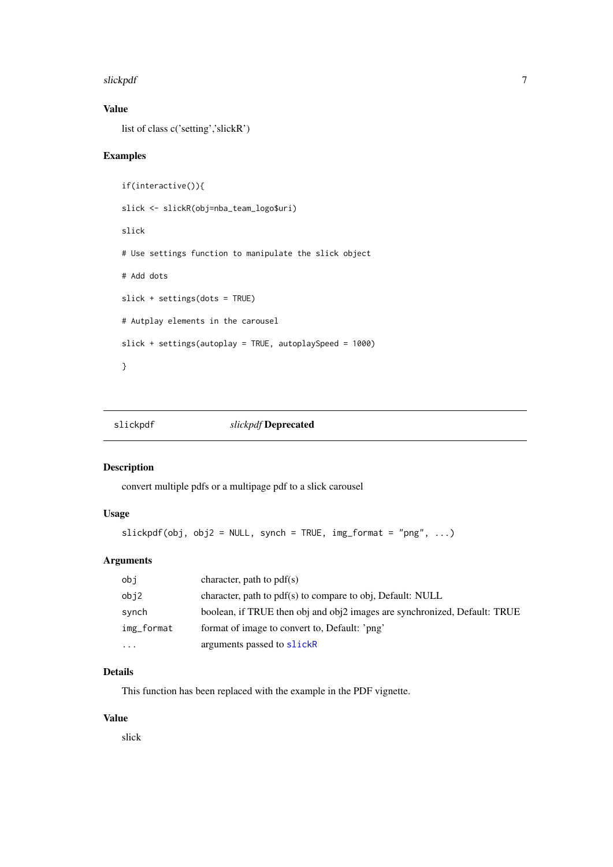#### <span id="page-6-0"></span>slickpdf 7 and 7 and 7 and 7 and 7 and 7 and 7 and 7 and 7 and 7 and 7 and 7 and 7 and 7 and 7 and 7 and 7 and 7 and 7 and 7 and 7 and 7 and 7 and 7 and 7 and 7 and 7 and 7 and 7 and 7 and 7 and 7 and 7 and 7 and 7 and 7 a

#### Value

list of class c('setting','slickR')

# Examples

```
if(interactive()){
slick <- slickR(obj=nba_team_logo$uri)
slick
# Use settings function to manipulate the slick object
# Add dots
slick + settings(dots = TRUE)
# Autplay elements in the carousel
slick + settings(autoplay = TRUE, autoplaySpeed = 1000)
}
```
slickpdf *slickpdf* Deprecated

#### Description

convert multiple pdfs or a multipage pdf to a slick carousel

# Usage

```
slickpdf(obj, obj2 = NULL, synch = TRUE, img_format = "png", \dots)
```
# Arguments

| obj        | character, path to $pdf(s)$                                               |
|------------|---------------------------------------------------------------------------|
| obj2       | character, path to pdf(s) to compare to obj, Default: NULL                |
| synch      | boolean, if TRUE then obj and obj2 images are synchronized, Default: TRUE |
| img_format | format of image to convert to, Default: 'png'                             |
| $\cdots$   | arguments passed to slickR                                                |

# Details

This function has been replaced with the example in the PDF vignette.

# Value

slick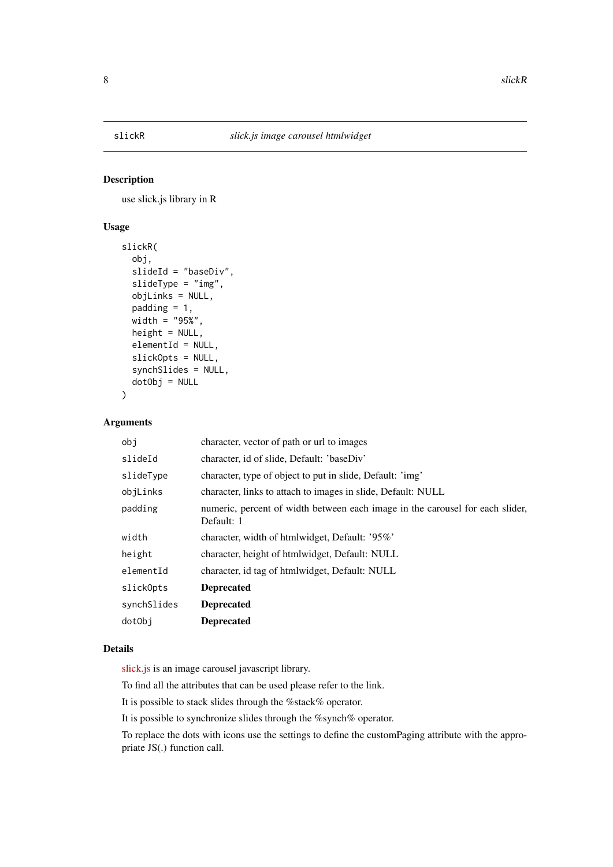<span id="page-7-1"></span><span id="page-7-0"></span>

#### Description

use slick.js library in R

#### Usage

```
slickR(
  obj,
  slideId = "baseDiv",
  slideType = "img",
  objLinks = NULL,
  padding = 1,
  width = "95%",
  height = NULL,
  elementId = NULL,slickOpts = NULL,
  synchSlides = NULL,
  dotObj = NULL)
```
#### Arguments

| dotObj      | <b>Deprecated</b>                                                                           |
|-------------|---------------------------------------------------------------------------------------------|
| synchSlides | <b>Deprecated</b>                                                                           |
| slick0pts   | <b>Deprecated</b>                                                                           |
| elementId   | character, id tag of htmlwidget, Default: NULL                                              |
| height      | character, height of htmlwidget, Default: NULL                                              |
| width       | character, width of htmlwidget, Default: '95%'                                              |
| padding     | numeric, percent of width between each image in the carousel for each slider,<br>Default: 1 |
| objLinks    | character, links to attach to images in slide, Default: NULL                                |
| slideType   | character, type of object to put in slide, Default: 'img'                                   |
| slideId     | character, id of slide, Default: 'baseDiv'                                                  |
| obi         | character, vector of path or url to images                                                  |

# Details

[slick.js](http://kenwheeler.github.io/slick/) is an image carousel javascript library.

To find all the attributes that can be used please refer to the link.

It is possible to stack slides through the %stack% operator.

It is possible to synchronize slides through the %synch% operator.

To replace the dots with icons use the settings to define the customPaging attribute with the appropriate JS(.) function call.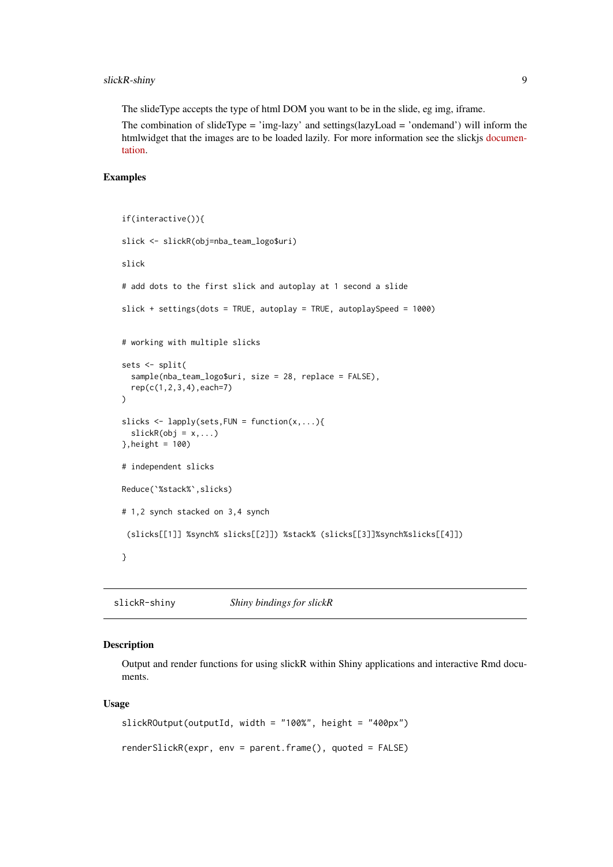#### <span id="page-8-0"></span>slickR-shiny 9

The slideType accepts the type of html DOM you want to be in the slide, eg img, iframe.

The combination of slideType = 'img-lazy' and settings(lazyLoad = 'ondemand') will inform the htmlwidget that the images are to be loaded lazily. For more information see the slickjs [documen](http://kenwheeler.github.io/slick/)[tation.](http://kenwheeler.github.io/slick/)

# Examples

```
if(interactive()){
slick <- slickR(obj=nba_team_logo$uri)
slick
# add dots to the first slick and autoplay at 1 second a slide
slick + settings(dots = TRUE, autoplay = TRUE, autoplaySpeed = 1000)
# working with multiple slicks
sets <- split(
  sample(nba_team_logo$uri, size = 28, replace = FALSE),
  rep(c(1,2,3,4),each=7)
)
slicks \leq lapply(sets, FUN = function(x,...){
  \text{slackR}(\text{obj} = x, \dots)},height = 100)
# independent slicks
Reduce(`%stack%`,slicks)
# 1,2 synch stacked on 3,4 synch
 (slicks[[1]] %synch% slicks[[2]]) %stack% (slicks[[3]]%synch%slicks[[4]])
}
```
slickR-shiny *Shiny bindings for slickR*

#### Description

Output and render functions for using slickR within Shiny applications and interactive Rmd documents.

#### Usage

```
slickROutput(outputId, width = "100%", height = "400px")
renderSlickR(expr, env = parent.frame(), quoted = FALSE)
```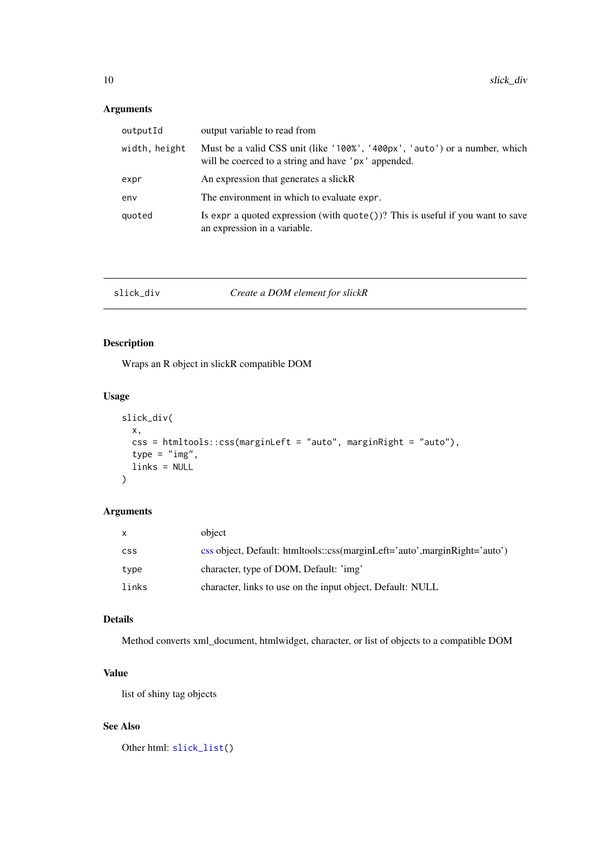#### <span id="page-9-0"></span>Arguments

| outputId      | output variable to read from                                                                                                      |
|---------------|-----------------------------------------------------------------------------------------------------------------------------------|
| width, height | Must be a valid CSS unit (like '100%', '400px', 'auto') or a number, which<br>will be coerced to a string and have 'px' appended. |
| expr          | An expression that generates a slick R                                                                                            |
| env           | The environment in which to evaluate expr.                                                                                        |
| quoted        | Is expr a quoted expression (with $\text{quote}()$ )? This is useful if you want to save<br>an expression in a variable.          |

#### <span id="page-9-1"></span>slick\_div *Create a DOM element for slickR*

# Description

Wraps an R object in slickR compatible DOM

#### Usage

```
slick_div(
  x,
  css = htmltools::css(marginLeft = "auto", marginRight = "auto"),
  type = "img",
  links = NULL
)
```
#### Arguments

| $\mathsf{x}$ | object                                                                    |
|--------------|---------------------------------------------------------------------------|
| <b>CSS</b>   | css object, Default: htmltools::css(marginLeft='auto',marginRight='auto') |
| type         | character, type of DOM, Default: 'img'                                    |
| links        | character, links to use on the input object, Default: NULL                |

# Details

Method converts xml\_document, htmlwidget, character, or list of objects to a compatible DOM

# Value

list of shiny tag objects

# See Also

Other html: [slick\\_list\(](#page-10-1))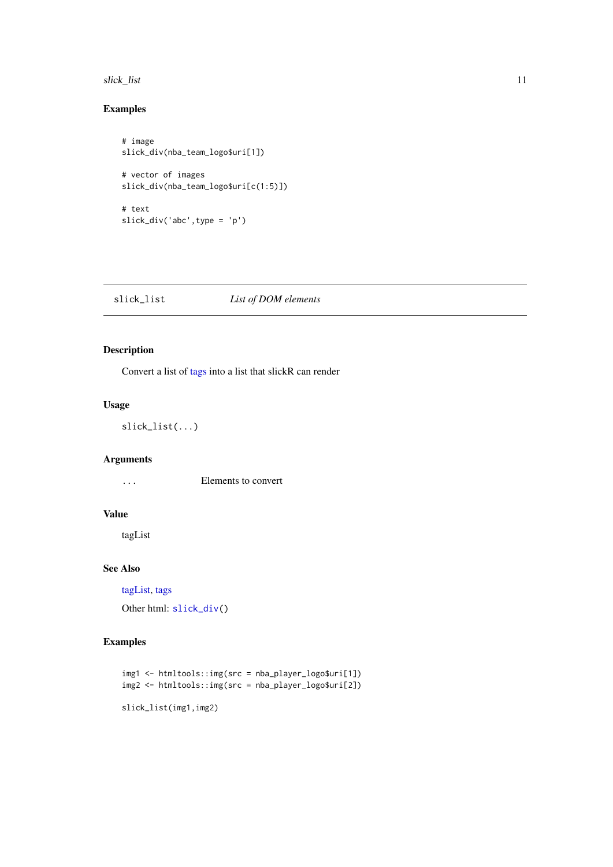#### <span id="page-10-0"></span>slick\_list 11

#### Examples

```
# image
slick_div(nba_team_logo$uri[1])
# vector of images
slick_div(nba_team_logo$uri[c(1:5)])
# text
slick_div('abc',type = 'p')
```
<span id="page-10-1"></span>

| slick list | List of DOM elements |
|------------|----------------------|
|------------|----------------------|

#### Description

Convert a list of [tags](#page-0-0) into a list that slickR can render

#### Usage

slick\_list(...)

#### Arguments

... Elements to convert

#### Value

tagList

# See Also

[tagList,](#page-0-0) [tags](#page-0-0)

Other html: [slick\\_div\(](#page-9-1))

#### Examples

```
img1 <- htmltools::img(src = nba_player_logo$uri[1])
img2 <- htmltools::img(src = nba_player_logo$uri[2])
```
slick\_list(img1,img2)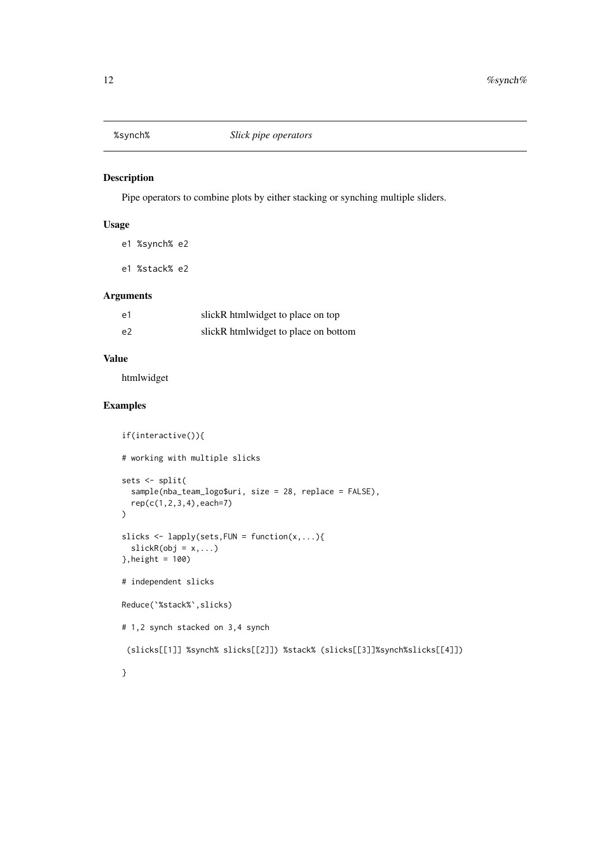<span id="page-11-0"></span>

#### Description

Pipe operators to combine plots by either stacking or synching multiple sliders.

# Usage

e1 %synch% e2

e1 %stack% e2

# Arguments

| e1             | slickR htmlwidget to place on top    |
|----------------|--------------------------------------|
| e <sub>2</sub> | slickR htmlwidget to place on bottom |

## Value

htmlwidget

# Examples

```
if(interactive()){
# working with multiple slicks
sets <- split(
  sample(nba_team_logo$uri, size = 28, replace = FALSE),
  rep(c(1,2,3,4),each=7)
\lambdaslicks \leq lapply(sets, FUN = function(x,...){
  \text{slackR}(\text{obj} = x, \dots)}, height = 100)# independent slicks
Reduce(`%stack%`,slicks)
# 1,2 synch stacked on 3,4 synch
 (slicks[[1]] %synch% slicks[[2]]) %stack% (slicks[[3]]%synch%slicks[[4]])
}
```